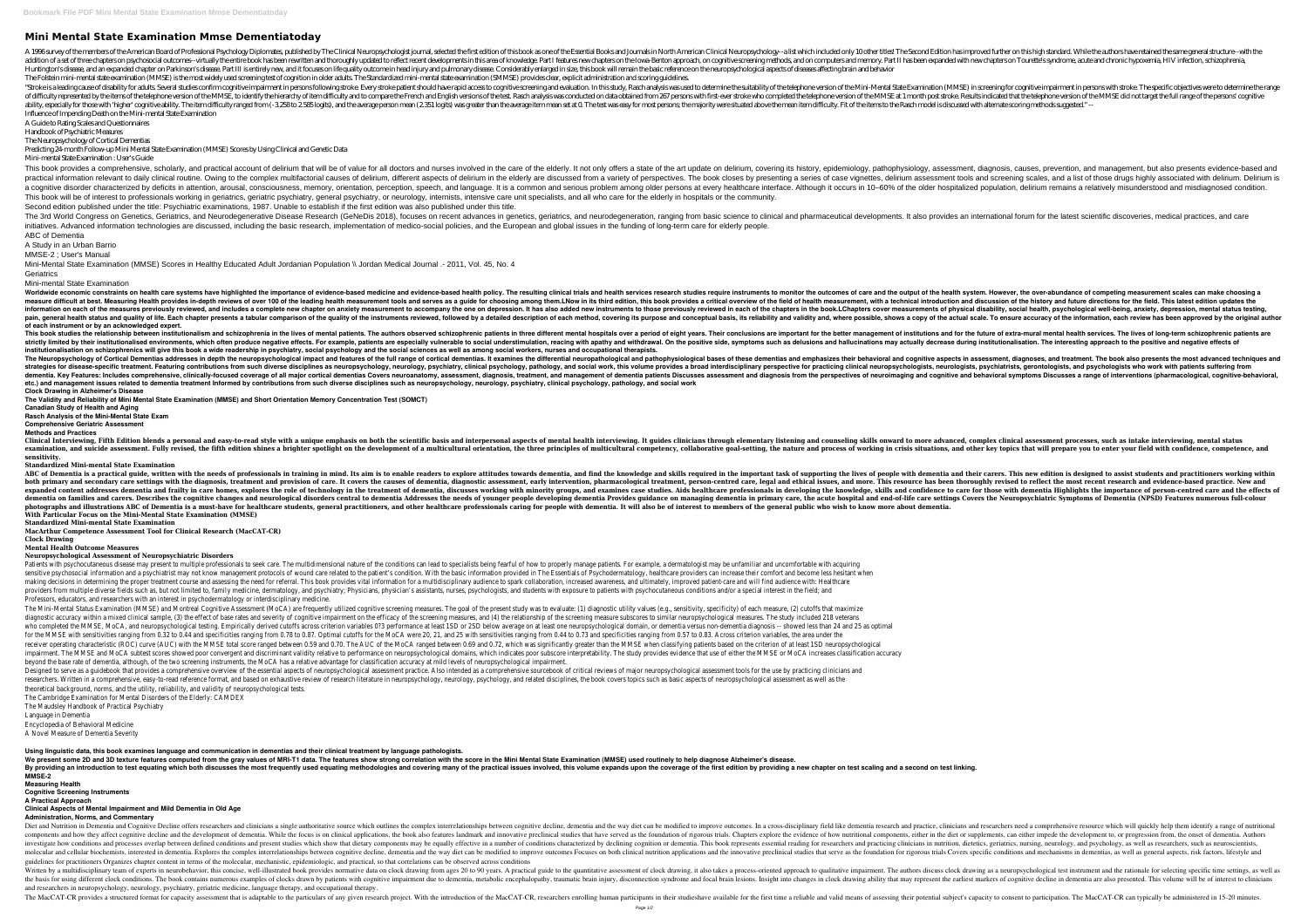# **Mini Mental State Examination Mmse Dementiatoday**

A 1996 survey of the members of the American Board of Professional Psychology Diplomates, published by The Clinical Neuropsychology iournal, selected the first edition of this book as one of the Essential Books and Journal addition of a set of three chapters on psychosocial outcomes-virtually the entire book has been rewritten and thoroughly updated to reflect recent developments in this area of knowledge. Part II has been expanded with new Huntington's disease, and an expanded chapter on Parkinson's disease. Part III is entirely new, and it focuses on life quality outcome in head injury and pulmonary disease. Considerably enlarged in size, this book will rem The Folstein mini-mental state examination (MMSE) is the most widely used screening test of cognition in older adults. The Standardized mini-mental state examination (SMMSE) provides clear, explicit administration and scor "Stroke is a leading cause of disability for adults. Several studies confirm cognitive impairment in persons following stroke. Every stroke patient should have rapid access to cognitive screening and evaluation. In this st of difficulty represented by the items of the telephone version of the MMSE, to identify the hierarchy of item difficulty and to compare the French and English versions of the test. Rasch analysis was conducted on data obt ability, especially for those with 'higher' cognitive ability. The item difficulty ranged from (-3,258 to 2,585 logits), and the average person mean (2,351 logits) was greater than the average item mean set at 0. The test Influence of Impending Death on the Mini-mental State Examination

This book provides a comprehensive, scholarly, and practical account of delirium that will be of value for all doctors and nurses involved in the care of the art update on delirium, covering its history, epidemiology, asse practical information relevant to daily clinical routine. Owing to the complex multifactorial causes of delirium, different aspects of delirium in the elderly are discussed from a variety of perspectives. The book closes b a cognitive disorder characterized by deficits in attention, arousal, consciousness, memory, orientation, perception, speech, and language. It is a common and serious problem among older persons at every healthcare interfa This book will be of interest to professionals working in geriatrics, geriatric psychiatry, general psychiatry, or neurology, internists, intensive care unit specialists, and all who care for the elderly in hospitals or th Second edition published under the title: Psychiatric examinations, 1987. Unable to establish if the first edition was also published under this title. The 3rd World Congress on Genetics, Geriatrics, and Neurodegenerative Disease Research (GeNeDis 2018), focuses on recent advances in genetics, geriatrics, and neurodegeneration, ranging from basic science to clinical and p initiatives. Advanced information technologies are discussed, including the basic research, implementation of medico-social policies, and the European and global issues in the funding of long-term care for elderly people. ABC of Dementia

Mini-Mental State Examination (MMSE) Scores in Healthy Educated Adult Jordanian Population \\ Jordan Medical Journal .- 2011, Vol. 45, No. 4 **Geriatrics** 

A Guide to Rating Scales and Questionnaires Handbook of Psychiatric Measures

The Neuropsychology of Cortical Dementias

Predicting 24-month Follow-up Mini Mental State Examination (MMSE) Scores by Using Clinical and Genetic Data

Mini-mental State Examination : User's Guide

Worldwide economic constraints on health care systems have highlighted the importance of evidence-based medicine and evidence-based health policy. The resulting clinical trials and the outcomes of care and the bealth syste one a criticall measure difficult at best. Measuring Health provides in-depth reviews of over 100 of the leading health measurement, with a technical introduction and discussion of the history and future directions for the information on each of the measures previously reviewed, and includes a complete new chapter on anxiety measurement to accompany the one on depression. It has also added new instruments of physical disability, social healt pain, general health status and quality of life. Each chapter presents a tabular comparison of the quality of the instruments reviewed, followed by a detailed description of each method, covering its purpose and conceptual **of each instrument or by an acknowledged expert.**

This book studies the relationship between institutionalism and schizophrenia in the lives of mental patients. The authors observed schizophrenic patients and for the better management of institutions and for the future of strictly limited by their institutionalised environments, which often produce negative effects. For example, patients are especially vulnerable to social understimulation, reacing with apathy and withdrawal. On the positiv **institutionalisation on schizophrenics will give this book a wide readership in psychiatry, social psychology and the social sciences as well as among social workers, nurses and occupational therapists.** The Neuropsychology of Cortical Dementias addresses in depth the neuropsychological impact and features of the full range of cortical dementias and emphasizes their behavioral and cognitive aspects in assessment, diagnoses strategies for disease-specific treatment. Featuring contributions from such diverse disciplines as neuropsychology, neurology, peychology, and social work, this volume provides a broad interdisciplinary perspective for pr Includes comprehensive, clinically-focused coverage of all major cortical dementias Covers neuroanatomy, assessment, diagnosis, treatment, and behavioral symptoms Discusses a range of interventions (pharmacological, counit **etc.) and management issues related to dementia treatment Informed by contributions from such diverse disciplines such as neuropsychology, neurology, psychiatry, clinical psychology, pathology, and social work Clock Drawing in Alzheimer's Disease**

Clinical Interviewing, Fifth Edition blends a personal and easy-to-read style with a unique emphasis on both the scientific basis and interpersonal aspects of mental health interviewing. It guides clinicians through elemen examination, and suicide assessment. Fully revised, the fifth edition shines a brighter spotlight on the development of a multicultural orientation, the three principles of multicultural competency, collaborative goal-sett **sensitivity.**

A Study in an Urban Barrio MMSE-2 ; User's Manual

Mini-mental State Examination

ABC of Dementia is a practical guide, written with the needs of professionals in training in mind. Its aim is to enable readers to explore attitudes towards dementia and their carers. This new edition is designed to assist both primary and secondary care settings with the diagnosis, treatment and provision of care. It covers the causes of dementia, diagnostic assessment, person-centred care, legal and ethical issues, and more. This resource expanded content addresses dementia and frailty in care homes, explores the role of technology in the treatment of dementia, discusses working with minority groups, and examines case studies. Aids healthcare professionals dementia on families and carers. Describes the cognitive changes and neurological disorders central to dementia Addresses the needs of younger people developing dementia and end-of-life care settings Covers the Neuropsychi photographs and illustrations ABC of Dementia is a must-have for healthcare students, general practitioners, and other healthcare professionals caring for people with dementia. It will also be of interest to members of the **With Particular Focus on the Mini-Mental State Examination (MMSE)**

Patients with psychocutaneous disease may present to multiple professionals to seek care. The multidimensional nature of the conditions can lead to specialists being fearful of how to properly manage patients. For example, sensitive psychosocial information and a psychiatrist may not know management protocols of wound care related to the patient's condition. With the basic information provided in The Essentials of Psychodermatology, healthca making decisions in determining the proper treatment course and assessing the need for referral. This book provides vital information for a multidisciplinary audience to spark collaboration, increased awareness, and ultima providers from multiple diverse fields such as, but not limited to, family medicine, dermatology, and psychiatry; Physician's assistants, nurses, psychologists, and students with exposure to patients with psychocutaneous c Professors, educators, and researchers with an interest in psychodermatology or interdisciplinary medicine.

The Mini-Mental Status Examination (MMSE) and Montreal Cognitive Assessment (MoCA) are frequently utilized cognitive screening measures. The goal of the present study was to evaluate: (1) diagnostic utility values (e.g., s diagnostic accuracy within a mixed clinical sample, (3) the effect of base rates and severity of cognitive impairment on the efficacy of the screening measure subscores to similar neuropsychological measures. The study inc who completed the MMSE, MoCA, and neuropsychological testing. Empirically derived cutoffs across criterion variables 0?3 performance at least 1SD or 2SD below average on at least 1SD or 2SD below average on at least 1SD or for the MMSE with sensitivities ranging from 0.32 to 0.44 and specificities ranging from 0.78 to 0.87. Optimal cutoffs for the MoCA were 20, 21, and 25 with sensitivities ranging from 0.44 to 0.73 and specificities ranging receiver operating characteristic (ROC) curve (AUC) with the MMSE total score ranged between 0.59 and 0.70. The AUC of the MoCA ranged between 0.69 and 0.72, which was significantly greater than the MMSE when classifying p impairment. The MMSE and MoCA subtest scores showed poor convergent and discriminant validity relative to performance on neuropsychological domains, which indicates poor subscore interpretability. The study provides eviden beyond the base rate of dementia, although, of the two screening instruments, the MoCA has a relative advantage for classification accuracy at mild levels of neuropsychological impairment. Designed to serve as a quidebook that provides a comprehensive overview of the essential aspects of neuropsychological assessment practice. Also intended as a comprehensive sourcebook of critical reviews of major neuropsyc researchers. Written in a comprehensive, easy-to-read reference format, and based on exhaustive review of research literature in neuropsychology, neurology, and related disciplines, the book covers topics such as basic asp theoretical background, norms, and the utility, reliability, and validity of neuropsychological tests.

**Using linguistic data, this book examines language and communication in dementias and their clinical treatment by language pathologists.** We present some 2D and 3D texture features computed from the gray values of MRI-T1 data. The features show strong correlation with the score in the Mini Mental State Examination (MMSE) used routinely to help diagnose Alzhe

**The Validity and Reliability of Mini Mental State Examination (MMSE) and Short Orientation Memory Concentration Test (SOMCT)**

**Canadian Study of Health and Aging**

**Rasch Analysis of the Mini-Mental State Exam Comprehensive Geriatric Assessment**

**Methods and Practices**

Diet and Nutrition in Dementia and Cognitive Decline offers researchers and clinicians a single authoritative source which outlines the complex interrelationships between cognitive decline, dementia and the way diet can be components and how they affect cognitive decline and the development of dementia. While the focus is on clinical applications, the book also features landmark and innovative preclinical studies that have served as the foun investigate how conditions and processes overlap between defined conditions and present studies which show that dietary components may be equally effective in a number of conditions characterized by declining cognition or molecular and cellular biochemists, interested in dementia. Explores the complex interrelationships between cognitive decline, dementia and the imovative preclinical studies that serve as the foundation for rigorous trials guidelines for practitioners Organizes chapter content in terms of the molecular, mechanistic, epidemiologic, and practical, so that correlations can be observed across conditions Written by a multidisciplinary team of experts in neurobehavior, this concise, well-illustrated book provides normative data on clock drawing, it also takes a process-oriented approach to qualitative impairment. The author the basis for using different clock conditions. The book contains numerous examples of clocks drawn by patients with cognitive impairment due to dementia, metabolic encephalopathy, traumatic brain injury, disconnection syn and researchers in neuropsychology, neurology, psychiatry, geriatric medicine, language therapy, and occupational therapy.

The MacCAT-CR provides a structured format for capacity assessment that is adaptable to the particulars of any given research project. With the introduction of the MacCAT-CR, researchers enrolling human participants in the

By providing an introduction to test equating which both discusses the most frequently used equating methodologies and covering many of the practical issues involved, this volume expands upon the coverage of the first edit

**Standardized Mini-mental State Examination**

**Standardized Mini-mental State Examination**

**MacArthur Competence Assessment Tool for Clinical Research (MacCAT-CR)**

### **Clock Drawing**

#### **Mental Health Outcome Measures Neuropsychological Assessment of Neuropsychiatric Disorders**

The Cambridge Examination for Mental Disorders of the Elderly: CAMDEX

The Maudsley Handbook of Practical Psychiatry

Language in Dementia

Encyclopedia of Behavioral Medicine

A Novel Measure of Dementia Severity

**MMSE-2**

### **Measuring Health**

**Cognitive Screening Instruments**

**A Practical Approach**

## **Clinical Aspects of Mental Impairment and Mild Dementia in Old Age**

**Administration, Norms, and Commentary**